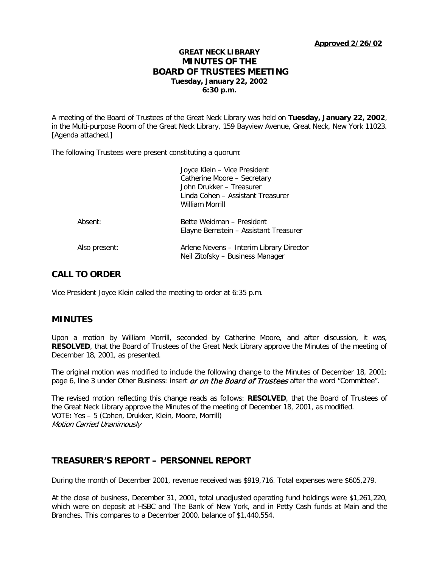**Approved 2/26/02**

# **GREAT NECK LIBRARY MINUTES OF THE BOARD OF TRUSTEES MEETING Tuesday, January 22, 2002 6:30 p.m.**

A meeting of the Board of Trustees of the Great Neck Library was held on **Tuesday, January 22, 2002**, in the Multi-purpose Room of the Great Neck Library, 159 Bayview Avenue, Great Neck, New York 11023. [Agenda attached.]

The following Trustees were present constituting a quorum:

|               | Joyce Klein - Vice President<br>Catherine Moore - Secretary<br>John Drukker - Treasurer<br>Linda Cohen - Assistant Treasurer<br>William Morrill |
|---------------|-------------------------------------------------------------------------------------------------------------------------------------------------|
| Absent:       | Bette Weidman - President<br>Elayne Bernstein – Assistant Treasurer                                                                             |
| Also present: | Arlene Nevens - Interim Library Director<br>Neil Zitofsky - Business Manager                                                                    |

# **CALL TO ORDER**

Vice President Joyce Klein called the meeting to order at 6:35 p.m.

## **MINUTES**

Upon a motion by William Morrill, seconded by Catherine Moore, and after discussion, it was, **RESOLVED**, that the Board of Trustees of the Great Neck Library approve the Minutes of the meeting of December 18, 2001, as presented.

The original motion was modified to include the following change to the Minutes of December 18, 2001: page 6, line 3 under Other Business: insert *or on the Board of Trustees* after the word "Committee".

The revised motion reflecting this change reads as follows: **RESOLVED**, that the Board of Trustees of the Great Neck Library approve the Minutes of the meeting of December 18, 2001, as modified. VOTE**:** Yes – 5 (Cohen, Drukker, Klein, Moore, Morrill) Motion Carried Unanimously

# **TREASURER'S REPORT – PERSONNEL REPORT**

During the month of December 2001, revenue received was \$919,716. Total expenses were \$605,279.

At the close of business, December 31, 2001, total unadjusted operating fund holdings were \$1,261,220, which were on deposit at HSBC and The Bank of New York, and in Petty Cash funds at Main and the Branches. This compares to a December 2000, balance of \$1,440,554.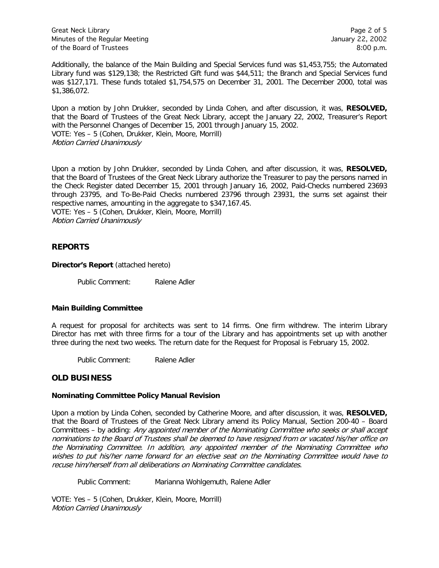Great Neck Library **Page 2 of 5** and 2 of 5 and 2 of 5 and 2 of 5 and 2 of 5 and 2 of 5 and 2 of 5 and 2 of 5 and 2 of 5 and 2 of 5 and 2 of 5 and 2 of 5 and 2 of 5 and 2 of 5 and 2 of 5 and 2 of 5 and 2 of 5 and 2 of 5 an Minutes of the Regular Meeting January 22, 2002 of the Board of Trustees 8:00 p.m.

Additionally, the balance of the Main Building and Special Services fund was \$1,453,755; the Automated Library fund was \$129,138; the Restricted Gift fund was \$44,511; the Branch and Special Services fund was \$127,171. These funds totaled \$1,754,575 on December 31, 2001. The December 2000, total was \$1,386,072.

Upon a motion by John Drukker, seconded by Linda Cohen, and after discussion, it was, **RESOLVED,**  that the Board of Trustees of the Great Neck Library, accept the January 22, 2002, Treasurer's Report with the Personnel Changes of December 15, 2001 through January 15, 2002. VOTE: Yes – 5 (Cohen, Drukker, Klein, Moore, Morrill) Motion Carried Unanimously

Upon a motion by John Drukker, seconded by Linda Cohen, and after discussion, it was, **RESOLVED,**  that the Board of Trustees of the Great Neck Library authorize the Treasurer to pay the persons named in the Check Register dated December 15, 2001 through January 16, 2002, Paid-Checks numbered 23693 through 23795, and To-Be-Paid Checks numbered 23796 through 23931, the sums set against their respective names, amounting in the aggregate to \$347,167.45. VOTE: Yes – 5 (Cohen, Drukker, Klein, Moore, Morrill) Motion Carried Unanimously

## **REPORTS**

#### **Director's Report** (attached hereto)

Public Comment: Ralene Adler

#### **Main Building Committee**

A request for proposal for architects was sent to 14 firms. One firm withdrew. The interim Library Director has met with three firms for a tour of the Library and has appointments set up with another three during the next two weeks. The return date for the Request for Proposal is February 15, 2002.

Public Comment: Ralene Adler

## **OLD BUSINESS**

#### **Nominating Committee Policy Manual Revision**

Upon a motion by Linda Cohen, seconded by Catherine Moore, and after discussion, it was, **RESOLVED,**  that the Board of Trustees of the Great Neck Library amend its Policy Manual, Section 200-40 – Board Committees – by adding: Any appointed member of the Nominating Committee who seeks or shall accept nominations to the Board of Trustees shall be deemed to have resigned from or vacated his/her office on the Nominating Committee. In addition, any appointed member of the Nominating Committee who wishes to put his/her name forward for an elective seat on the Nominating Committee would have to recuse him/herself from all deliberations on Nominating Committee candidates.

Public Comment: Marianna Wohlgemuth, Ralene Adler

VOTE: Yes – 5 (Cohen, Drukker, Klein, Moore, Morrill) Motion Carried Unanimously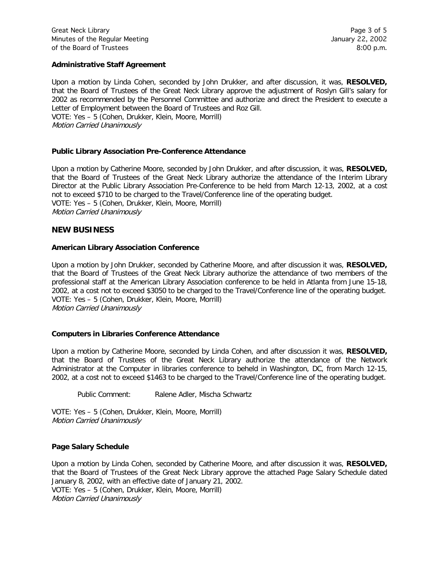## **Administrative Staff Agreement**

Upon a motion by Linda Cohen, seconded by John Drukker, and after discussion, it was, **RESOLVED,**  that the Board of Trustees of the Great Neck Library approve the adjustment of Roslyn Gill's salary for 2002 as recommended by the Personnel Committee and authorize and direct the President to execute a Letter of Employment between the Board of Trustees and Roz Gill. VOTE: Yes – 5 (Cohen, Drukker, Klein, Moore, Morrill) Motion Carried Unanimously

## **Public Library Association Pre-Conference Attendance**

Upon a motion by Catherine Moore, seconded by John Drukker, and after discussion, it was, **RESOLVED,**  that the Board of Trustees of the Great Neck Library authorize the attendance of the Interim Library Director at the Public Library Association Pre-Conference to be held from March 12-13, 2002, at a cost not to exceed \$710 to be charged to the Travel/Conference line of the operating budget. VOTE: Yes – 5 (Cohen, Drukker, Klein, Moore, Morrill) Motion Carried Unanimously

## **NEW BUSINESS**

## **American Library Association Conference**

Upon a motion by John Drukker, seconded by Catherine Moore, and after discussion it was, **RESOLVED,** that the Board of Trustees of the Great Neck Library authorize the attendance of two members of the professional staff at the American Library Association conference to be held in Atlanta from June 15-18, 2002, at a cost not to exceed \$3050 to be charged to the Travel/Conference line of the operating budget. VOTE: Yes – 5 (Cohen, Drukker, Klein, Moore, Morrill) Motion Carried Unanimously

#### **Computers in Libraries Conference Attendance**

Upon a motion by Catherine Moore, seconded by Linda Cohen, and after discussion it was, **RESOLVED,** that the Board of Trustees of the Great Neck Library authorize the attendance of the Network Administrator at the Computer in libraries conference to beheld in Washington, DC, from March 12-15, 2002, at a cost not to exceed \$1463 to be charged to the Travel/Conference line of the operating budget.

Public Comment: Ralene Adler, Mischa Schwartz

VOTE: Yes – 5 (Cohen, Drukker, Klein, Moore, Morrill) Motion Carried Unanimously

#### **Page Salary Schedule**

Upon a motion by Linda Cohen, seconded by Catherine Moore, and after discussion it was, **RESOLVED,** that the Board of Trustees of the Great Neck Library approve the attached Page Salary Schedule dated January 8, 2002, with an effective date of January 21, 2002. VOTE: Yes – 5 (Cohen, Drukker, Klein, Moore, Morrill)

Motion Carried Unanimously